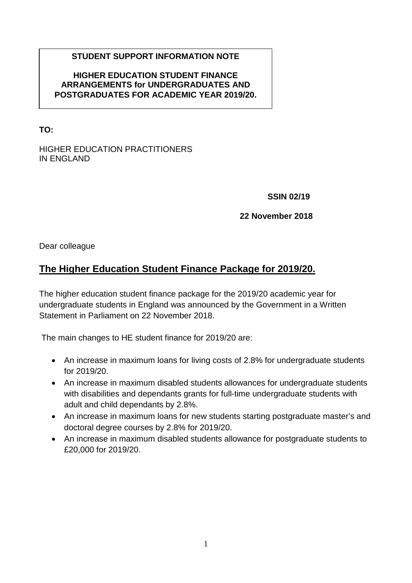## **STUDENT SUPPORT INFORMATION NOTE**

### **HIGHER EDUCATION STUDENT FINANCE ARRANGEMENTS for UNDERGRADUATES AND POSTGRADUATES FOR ACADEMIC YEAR 2019/20.**

**TO:**

#### HIGHER EDUCATION PRACTITIONERS IN ENGLAND

**SSIN 02/19**

### **22 November 2018**

Dear colleague

# **The Higher Education Student Finance Package for 2019/20.**

The higher education student finance package for the 2019/20 academic year for undergraduate students in England was announced by the Government in a Written Statement in Parliament on 22 November 2018.

The main changes to HE student finance for 2019/20 are:

- An increase in maximum loans for living costs of 2.8% for undergraduate students for 2019/20.
- An increase in maximum disabled students allowances for undergraduate students with disabilities and dependants grants for full-time undergraduate students with adult and child dependants by 2.8%.
- An increase in maximum loans for new students starting postgraduate master's and doctoral degree courses by 2.8% for 2019/20.
- An increase in maximum disabled students allowance for postgraduate students to £20,000 for 2019/20.